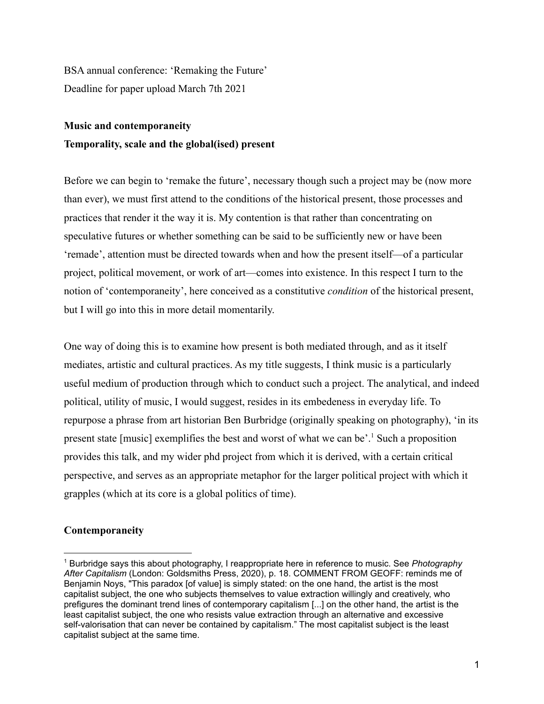BSA annual conference: 'Remaking the Future' Deadline for paper upload March 7th 2021

# **Music and contemporaneity Temporality, scale and the global(ised) present**

Before we can begin to 'remake the future', necessary though such a project may be (now more than ever), we must first attend to the conditions of the historical present, those processes and practices that render it the way it is. My contention is that rather than concentrating on speculative futures or whether something can be said to be sufficiently new or have been 'remade', attention must be directed towards when and how the present itself—of a particular project, political movement, or work of art—comes into existence. In this respect I turn to the notion of 'contemporaneity', here conceived as a constitutive *condition* of the historical present, but I will go into this in more detail momentarily.

One way of doing this is to examine how present is both mediated through, and as it itself mediates, artistic and cultural practices. As my title suggests, I think music is a particularly useful medium of production through which to conduct such a project. The analytical, and indeed political, utility of music, I would suggest, resides in its embedeness in everyday life. To repurpose a phrase from art historian Ben Burbridge (originally speaking on photography), 'in its present state [music] exemplifies the best and worst of what we can be'.<sup>1</sup> Such a proposition provides this talk, and my wider phd project from which it is derived, with a certain critical perspective, and serves as an appropriate metaphor for the larger political project with which it grapples (which at its core is a global politics of time).

## **Contemporaneity**

<sup>1</sup> Burbridge says this about photography, I reappropriate here in reference to music. See *Photography After Capitalism* (London: Goldsmiths Press, 2020), p. 18. COMMENT FROM GEOFF: reminds me of Benjamin Noys, "This paradox [of value] is simply stated: on the one hand, the artist is the most capitalist subject, the one who subjects themselves to value extraction willingly and creatively, who prefigures the dominant trend lines of contemporary capitalism [...] on the other hand, the artist is the least capitalist subject, the one who resists value extraction through an alternative and excessive self-valorisation that can never be contained by capitalism." The most capitalist subject is the least capitalist subject at the same time.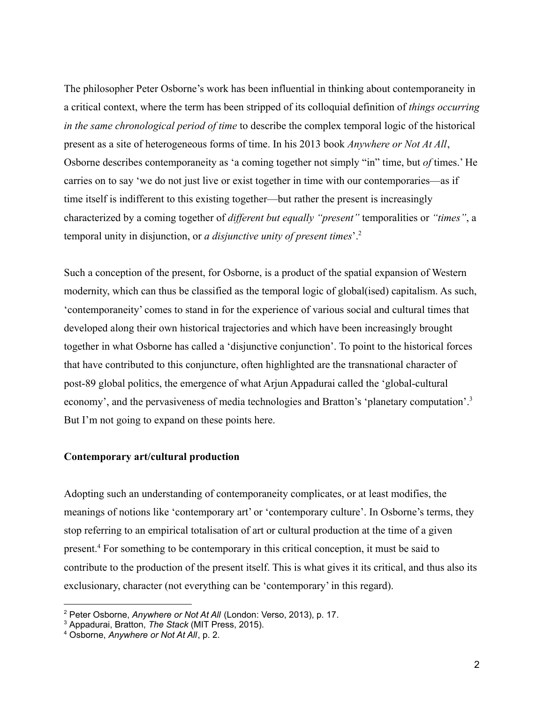The philosopher Peter Osborne's work has been influential in thinking about contemporaneity in a critical context, where the term has been stripped of its colloquial definition of *things occurring in the same chronological period of time* to describe the complex temporal logic of the historical present as a site of heterogeneous forms of time. In his 2013 book *Anywhere or Not At All*, Osborne describes contemporaneity as 'a coming together not simply "in" time, but *of* times.' He carries on to say 'we do not just live or exist together in time with our contemporaries—as if time itself is indifferent to this existing together—but rather the present is increasingly characterized by a coming together of *different but equally "present"* temporalities or *"times"*, a temporal unity in disjunction, or *a disjunctive unity of present times*'.<sup>2</sup>

Such a conception of the present, for Osborne, is a product of the spatial expansion of Western modernity, which can thus be classified as the temporal logic of global(ised) capitalism. As such, 'contemporaneity' comes to stand in for the experience of various social and cultural times that developed along their own historical trajectories and which have been increasingly brought together in what Osborne has called a 'disjunctive conjunction'. To point to the historical forces that have contributed to this conjuncture, often highlighted are the transnational character of post-89 global politics, the emergence of what Arjun Appadurai called the 'global-cultural economy', and the pervasiveness of media technologies and Bratton's 'planetary computation'.<sup>3</sup> But I'm not going to expand on these points here.

## **Contemporary art/cultural production**

Adopting such an understanding of contemporaneity complicates, or at least modifies, the meanings of notions like 'contemporary art' or 'contemporary culture'. In Osborne's terms, they stop referring to an empirical totalisation of art or cultural production at the time of a given present.<sup>4</sup> For something to be contemporary in this critical conception, it must be said to contribute to the production of the present itself. This is what gives it its critical, and thus also its exclusionary, character (not everything can be 'contemporary' in this regard).

<sup>2</sup> Peter Osborne, *Anywhere or Not At All* (London: Verso, 2013), p. 17.

<sup>3</sup> Appadurai, Bratton, *The Stack* (MIT Press, 2015).

<sup>4</sup> Osborne, *Anywhere or Not At All*, p. 2.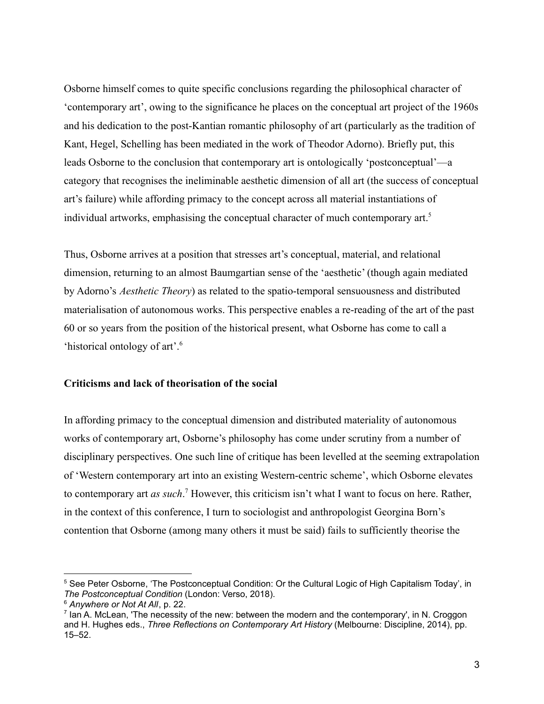Osborne himself comes to quite specific conclusions regarding the philosophical character of 'contemporary art', owing to the significance he places on the conceptual art project of the 1960s and his dedication to the post-Kantian romantic philosophy of art (particularly as the tradition of Kant, Hegel, Schelling has been mediated in the work of Theodor Adorno). Briefly put, this leads Osborne to the conclusion that contemporary art is ontologically 'postconceptual'—a category that recognises the ineliminable aesthetic dimension of all art (the success of conceptual art's failure) while affording primacy to the concept across all material instantiations of individual artworks, emphasising the conceptual character of much contemporary art.<sup>5</sup>

Thus, Osborne arrives at a position that stresses art's conceptual, material, and relational dimension, returning to an almost Baumgartian sense of the 'aesthetic' (though again mediated by Adorno's *Aesthetic Theory*) as related to the spatio-temporal sensuousness and distributed materialisation of autonomous works. This perspective enables a re-reading of the art of the past 60 or so years from the position of the historical present, what Osborne has come to call a 'historical ontology of art'.<sup>6</sup>

### **Criticisms and lack of theorisation of the social**

In affording primacy to the conceptual dimension and distributed materiality of autonomous works of contemporary art, Osborne's philosophy has come under scrutiny from a number of disciplinary perspectives. One such line of critique has been levelled at the seeming extrapolation of 'Western contemporary art into an existing Western-centric scheme', which Osborne elevates to contemporary art *as such*. <sup>7</sup> However, this criticism isn't what I want to focus on here. Rather, in the context of this conference, I turn to sociologist and anthropologist Georgina Born's contention that Osborne (among many others it must be said) fails to sufficiently theorise the

<sup>5</sup> See Peter Osborne, 'The Postconceptual Condition: Or the Cultural Logic of High Capitalism Today', in *The Postconceptual Condition* (London: Verso, 2018).

<sup>6</sup> *Anywhere or Not At All*, p. 22.

 $<sup>7</sup>$  lan A. McLean, 'The necessity of the new: between the modern and the contemporary', in N. Croggon</sup> and H. Hughes eds., *Three Reflections on Contemporary Art History* (Melbourne: Discipline, 2014), pp. 15–52.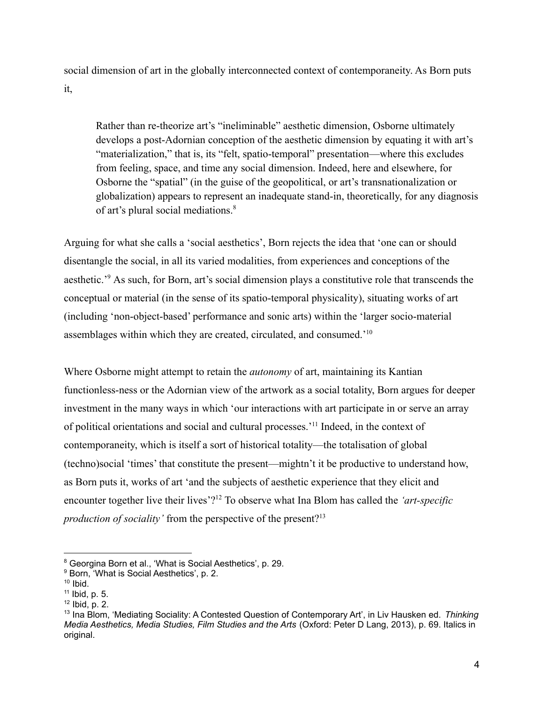social dimension of art in the globally interconnected context of contemporaneity. As Born puts it,

Rather than re-theorize art's "ineliminable" aesthetic dimension, Osborne ultimately develops a post-Adornian conception of the aesthetic dimension by equating it with art's "materialization," that is, its "felt, spatio-temporal" presentation—where this excludes from feeling, space, and time any social dimension. Indeed, here and elsewhere, for Osborne the "spatial" (in the guise of the geopolitical, or art's transnationalization or globalization) appears to represent an inadequate stand-in, theoretically, for any diagnosis of art's plural social mediations.<sup>8</sup>

Arguing for what she calls a 'social aesthetics', Born rejects the idea that 'one can or should disentangle the social, in all its varied modalities, from experiences and conceptions of the aesthetic.'<sup>9</sup> As such, for Born, art's social dimension plays a constitutive role that transcends the conceptual or material (in the sense of its spatio-temporal physicality), situating works of art (including 'non-object-based' performance and sonic arts) within the 'larger socio-material assemblages within which they are created, circulated, and consumed.'<sup>10</sup>

Where Osborne might attempt to retain the *autonomy* of art, maintaining its Kantian functionless-ness or the Adornian view of the artwork as a social totality, Born argues for deeper investment in the many ways in which 'our interactions with art participate in or serve an array of political orientations and social and cultural processes.'<sup>11</sup> Indeed, in the context of contemporaneity, which is itself a sort of historical totality—the totalisation of global (techno)social 'times' that constitute the present—mightn't it be productive to understand how, as Born puts it, works of art 'and the subjects of aesthetic experience that they elicit and encounter together live their lives'?<sup>12</sup> To observe what Ina Blom has called the *'art-specific production of sociality'* from the perspective of the present?<sup>13</sup>

<sup>8</sup> Georgina Born et al., 'What is Social Aesthetics', p. 29.

<sup>&</sup>lt;sup>9</sup> Born, 'What is Social Aesthetics', p. 2.

 $10$  Ibid.

 $11$  Ibid, p. 5.

 $12$  Ibid, p. 2.

<sup>13</sup> Ina Blom, 'Mediating Sociality: A Contested Question of Contemporary Art', in Liv Hausken ed. *Thinking Media Aesthetics, Media Studies, Film Studies and the Arts* (Oxford: Peter D Lang, 2013), p. 69. Italics in original.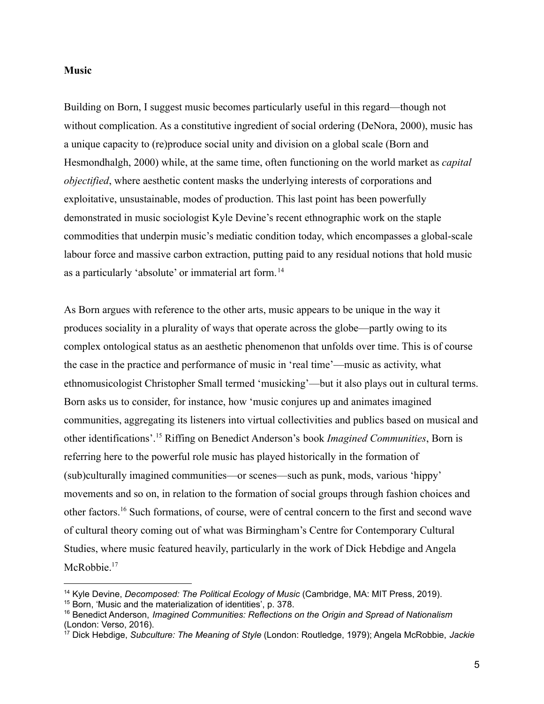#### **Music**

Building on Born, I suggest music becomes particularly useful in this regard—though not without complication. As a constitutive ingredient of social ordering (DeNora, 2000), music has a unique capacity to (re)produce social unity and division on a global scale (Born and Hesmondhalgh, 2000) while, at the same time, often functioning on the world market as *capital objectified*, where aesthetic content masks the underlying interests of corporations and exploitative, unsustainable, modes of production. This last point has been powerfully demonstrated in music sociologist Kyle Devine's recent ethnographic work on the staple commodities that underpin music's mediatic condition today, which encompasses a global-scale labour force and massive carbon extraction, putting paid to any residual notions that hold music as a particularly 'absolute' or immaterial art form. <sup>14</sup>

As Born argues with reference to the other arts, music appears to be unique in the way it produces sociality in a plurality of ways that operate across the globe—partly owing to its complex ontological status as an aesthetic phenomenon that unfolds over time. This is of course the case in the practice and performance of music in 'real time'—music as activity, what ethnomusicologist Christopher Small termed 'musicking'—but it also plays out in cultural terms. Born asks us to consider, for instance, how 'music conjures up and animates imagined communities, aggregating its listeners into virtual collectivities and publics based on musical and other identifications'.<sup>15</sup> Riffing on Benedict Anderson's book *Imagined Communities*, Born is referring here to the powerful role music has played historically in the formation of (sub)culturally imagined communities—or scenes—such as punk, mods, various 'hippy' movements and so on, in relation to the formation of social groups through fashion choices and other factors.<sup>16</sup> Such formations, of course, were of central concern to the first and second wave of cultural theory coming out of what was Birmingham's Centre for Contemporary Cultural Studies, where music featured heavily, particularly in the work of Dick Hebdige and Angela McRobbie.<sup>17</sup>

<sup>14</sup> Kyle Devine, *Decomposed: The Political Ecology of Music* (Cambridge, MA: MIT Press, 2019).

<sup>15</sup> Born, 'Music and the materialization of identities', p. 378.

<sup>16</sup> Benedict Anderson, *Imagined Communities: Reflections on the Origin and Spread of Nationalism* (London: Verso, 2016).

<sup>17</sup> Dick Hebdige, *Subculture: The Meaning of Style* (London: Routledge, 1979); Angela McRobbie, *Jackie*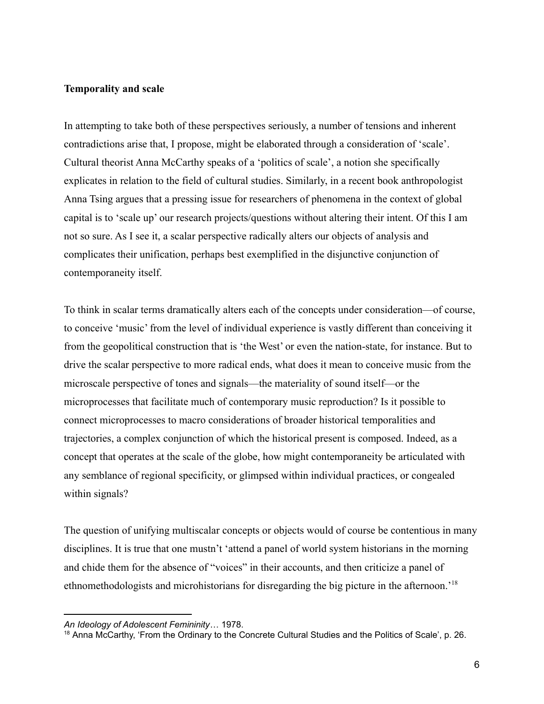#### **Temporality and scale**

In attempting to take both of these perspectives seriously, a number of tensions and inherent contradictions arise that, I propose, might be elaborated through a consideration of 'scale'. Cultural theorist Anna McCarthy speaks of a 'politics of scale', a notion she specifically explicates in relation to the field of cultural studies. Similarly, in a recent book anthropologist Anna Tsing argues that a pressing issue for researchers of phenomena in the context of global capital is to 'scale up' our research projects/questions without altering their intent. Of this I am not so sure. As I see it, a scalar perspective radically alters our objects of analysis and complicates their unification, perhaps best exemplified in the disjunctive conjunction of contemporaneity itself.

To think in scalar terms dramatically alters each of the concepts under consideration—of course, to conceive 'music' from the level of individual experience is vastly different than conceiving it from the geopolitical construction that is 'the West' or even the nation-state, for instance. But to drive the scalar perspective to more radical ends, what does it mean to conceive music from the microscale perspective of tones and signals—the materiality of sound itself—or the microprocesses that facilitate much of contemporary music reproduction? Is it possible to connect microprocesses to macro considerations of broader historical temporalities and trajectories, a complex conjunction of which the historical present is composed. Indeed, as a concept that operates at the scale of the globe, how might contemporaneity be articulated with any semblance of regional specificity, or glimpsed within individual practices, or congealed within signals?

The question of unifying multiscalar concepts or objects would of course be contentious in many disciplines. It is true that one mustn't 'attend a panel of world system historians in the morning and chide them for the absence of "voices" in their accounts, and then criticize a panel of ethnomethodologists and microhistorians for disregarding the big picture in the afternoon.'<sup>18</sup>

*An Ideology of Adolescent Femininity*… 1978.

<sup>&</sup>lt;sup>18</sup> Anna McCarthy, 'From the Ordinary to the Concrete Cultural Studies and the Politics of Scale', p. 26.